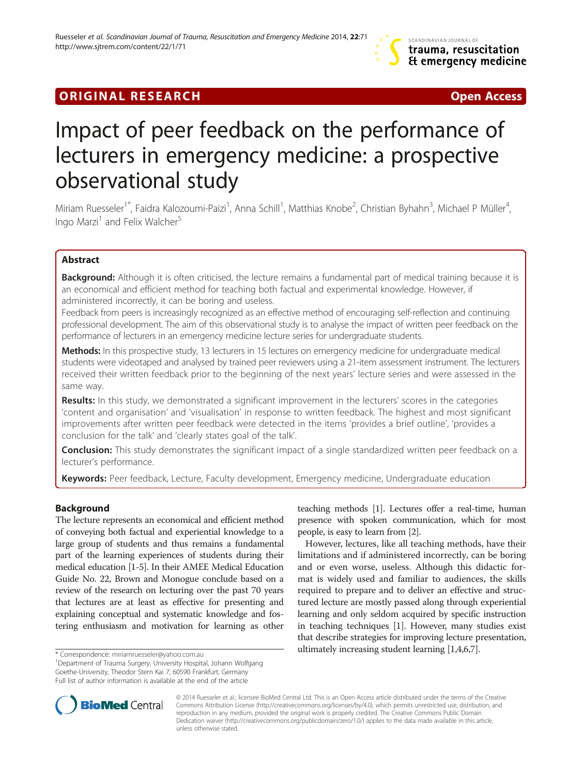# **ORIGINAL RESEARCH CONSUMING A RESEARCH CONSUMING A RESEARCH**

# Impact of peer feedback on the performance of lecturers in emergency medicine: a prospective observational study

Miriam Ruesseler<sup>1\*</sup>, Faidra Kalozoumi-Paizi<sup>1</sup>, Anna Schill<sup>1</sup>, Matthias Knobe<sup>2</sup>, Christian Byhahn<sup>3</sup>, Michael P Müller<sup>4</sup> , Ingo Marzi<sup>1</sup> and Felix Walcher<sup>5</sup>

# Abstract

Background: Although it is often criticised, the lecture remains a fundamental part of medical training because it is an economical and efficient method for teaching both factual and experimental knowledge. However, if administered incorrectly, it can be boring and useless.

Feedback from peers is increasingly recognized as an effective method of encouraging self-reflection and continuing professional development. The aim of this observational study is to analyse the impact of written peer feedback on the performance of lecturers in an emergency medicine lecture series for undergraduate students.

Methods: In this prospective study, 13 lecturers in 15 lectures on emergency medicine for undergraduate medical students were videotaped and analysed by trained peer reviewers using a 21-item assessment instrument. The lecturers received their written feedback prior to the beginning of the next years' lecture series and were assessed in the same way.

Results: In this study, we demonstrated a significant improvement in the lecturers' scores in the categories 'content and organisation' and 'visualisation' in response to written feedback. The highest and most significant improvements after written peer feedback were detected in the items 'provides a brief outline', 'provides a conclusion for the talk' and 'clearly states goal of the talk'.

Conclusion: This study demonstrates the significant impact of a single standardized written peer feedback on a lecturer's performance.

Keywords: Peer feedback, Lecture, Faculty development, Emergency medicine, Undergraduate education

# Background

The lecture represents an economical and efficient method of conveying both factual and experiential knowledge to a large group of students and thus remains a fundamental part of the learning experiences of students during their medical education [\[1-5](#page-6-0)]. In their AMEE Medical Education Guide No. 22, Brown and Monogue conclude based on a review of the research on lecturing over the past 70 years that lectures are at least as effective for presenting and explaining conceptual and systematic knowledge and fostering enthusiasm and motivation for learning as other

teaching methods [\[1\]](#page-6-0). Lectures offer a real-time, human presence with spoken communication, which for most people, is easy to learn from [\[2\]](#page-6-0).

However, lectures, like all teaching methods, have their limitations and if administered incorrectly, can be boring and or even worse, useless. Although this didactic format is widely used and familiar to audiences, the skills required to prepare and to deliver an effective and structured lecture are mostly passed along through experiential learning and only seldom acquired by specific instruction in teaching techniques [[1](#page-6-0)]. However, many studies exist that describe strategies for improving lecture presentation, ultimately increasing student learning [\[1,4,6,7](#page-6-0)]. \* Correspondence: [miriamruesseler@yahoo.com.au](mailto:miriamruesseler@yahoo.com.au) <sup>1</sup>



© 2014 Ruesseler et al.; licensee BioMed Central Ltd. This is an Open Access article distributed under the terms of the Creative Commons Attribution License [\(http://creativecommons.org/licenses/by/4.0\)](http://creativecommons.org/licenses/by/4.0), which permits unrestricted use, distribution, and reproduction in any medium, provided the original work is properly credited. The Creative Commons Public Domain Dedication waiver [\(http://creativecommons.org/publicdomain/zero/1.0/](http://creativecommons.org/publicdomain/zero/1.0/)) applies to the data made available in this article, unless otherwise stated.

Department of Trauma Surgery, University Hospital, Johann Wolfgang Goethe-University, Theodor Stern Kai 7, 60590 Frankfurt, Germany Full list of author information is available at the end of the article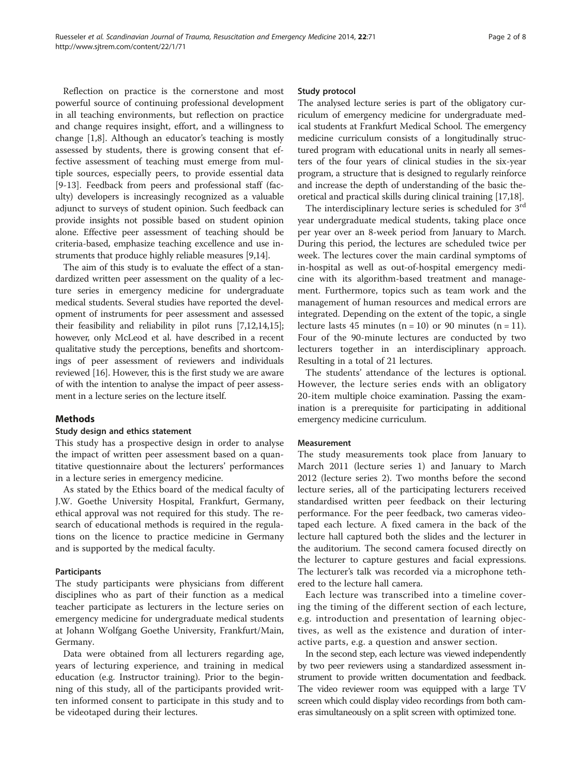Reflection on practice is the cornerstone and most powerful source of continuing professional development in all teaching environments, but reflection on practice and change requires insight, effort, and a willingness to change [\[1,8](#page-6-0)]. Although an educator's teaching is mostly assessed by students, there is growing consent that effective assessment of teaching must emerge from multiple sources, especially peers, to provide essential data [[9](#page-6-0)[-13](#page-7-0)]. Feedback from peers and professional staff (faculty) developers is increasingly recognized as a valuable adjunct to surveys of student opinion. Such feedback can provide insights not possible based on student opinion alone. Effective peer assessment of teaching should be criteria-based, emphasize teaching excellence and use instruments that produce highly reliable measures [[9,](#page-6-0)[14](#page-7-0)].

The aim of this study is to evaluate the effect of a standardized written peer assessment on the quality of a lecture series in emergency medicine for undergraduate medical students. Several studies have reported the development of instruments for peer assessment and assessed their feasibility and reliability in pilot runs [\[7](#page-6-0)[,12,14,15](#page-7-0)]; however, only McLeod et al. have described in a recent qualitative study the perceptions, benefits and shortcomings of peer assessment of reviewers and individuals reviewed [[16](#page-7-0)]. However, this is the first study we are aware of with the intention to analyse the impact of peer assessment in a lecture series on the lecture itself.

#### Methods

#### Study design and ethics statement

This study has a prospective design in order to analyse the impact of written peer assessment based on a quantitative questionnaire about the lecturers' performances in a lecture series in emergency medicine.

As stated by the Ethics board of the medical faculty of J.W. Goethe University Hospital, Frankfurt, Germany, ethical approval was not required for this study. The research of educational methods is required in the regulations on the licence to practice medicine in Germany and is supported by the medical faculty.

# Participants

The study participants were physicians from different disciplines who as part of their function as a medical teacher participate as lecturers in the lecture series on emergency medicine for undergraduate medical students at Johann Wolfgang Goethe University, Frankfurt/Main, Germany.

Data were obtained from all lecturers regarding age, years of lecturing experience, and training in medical education (e.g. Instructor training). Prior to the beginning of this study, all of the participants provided written informed consent to participate in this study and to be videotaped during their lectures.

#### Study protocol

The analysed lecture series is part of the obligatory curriculum of emergency medicine for undergraduate medical students at Frankfurt Medical School. The emergency medicine curriculum consists of a longitudinally structured program with educational units in nearly all semesters of the four years of clinical studies in the six-year program, a structure that is designed to regularly reinforce and increase the depth of understanding of the basic theoretical and practical skills during clinical training [[17](#page-7-0),[18](#page-7-0)].

The interdisciplinary lecture series is scheduled for 3<sup>rd</sup> year undergraduate medical students, taking place once per year over an 8-week period from January to March. During this period, the lectures are scheduled twice per week. The lectures cover the main cardinal symptoms of in-hospital as well as out-of-hospital emergency medicine with its algorithm-based treatment and management. Furthermore, topics such as team work and the management of human resources and medical errors are integrated. Depending on the extent of the topic, a single lecture lasts 45 minutes ( $n = 10$ ) or 90 minutes ( $n = 11$ ). Four of the 90-minute lectures are conducted by two lecturers together in an interdisciplinary approach. Resulting in a total of 21 lectures.

The students' attendance of the lectures is optional. However, the lecture series ends with an obligatory 20-item multiple choice examination. Passing the examination is a prerequisite for participating in additional emergency medicine curriculum.

#### Measurement

The study measurements took place from January to March 2011 (lecture series 1) and January to March 2012 (lecture series 2). Two months before the second lecture series, all of the participating lecturers received standardised written peer feedback on their lecturing performance. For the peer feedback, two cameras videotaped each lecture. A fixed camera in the back of the lecture hall captured both the slides and the lecturer in the auditorium. The second camera focused directly on the lecturer to capture gestures and facial expressions. The lecturer's talk was recorded via a microphone tethered to the lecture hall camera.

Each lecture was transcribed into a timeline covering the timing of the different section of each lecture, e.g. introduction and presentation of learning objectives, as well as the existence and duration of interactive parts, e.g. a question and answer section.

In the second step, each lecture was viewed independently by two peer reviewers using a standardized assessment instrument to provide written documentation and feedback. The video reviewer room was equipped with a large TV screen which could display video recordings from both cameras simultaneously on a split screen with optimized tone.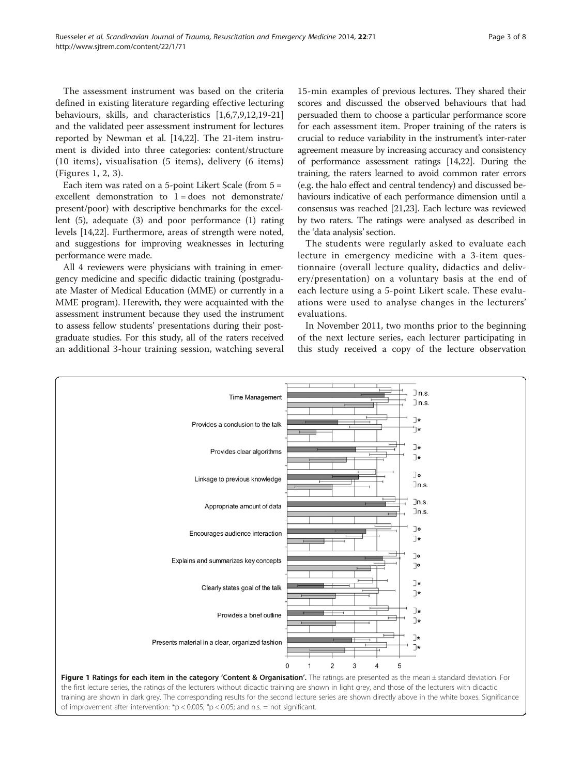<span id="page-2-0"></span>The assessment instrument was based on the criteria defined in existing literature regarding effective lecturing behaviours, skills, and characteristics [[1,6,7,9](#page-6-0)[,12,19-21](#page-7-0)] and the validated peer assessment instrument for lectures reported by Newman et al. [\[14,22\]](#page-7-0). The 21-item instrument is divided into three categories: content/structure (10 items), visualisation (5 items), delivery (6 items) (Figures 1, [2, 3\)](#page-3-0).

Each item was rated on a 5-point Likert Scale (from 5 = excellent demonstration to  $1 =$  does not demonstrate/ present/poor) with descriptive benchmarks for the excellent (5), adequate (3) and poor performance (1) rating levels [\[14,22](#page-7-0)]. Furthermore, areas of strength were noted, and suggestions for improving weaknesses in lecturing performance were made.

All 4 reviewers were physicians with training in emergency medicine and specific didactic training (postgraduate Master of Medical Education (MME) or currently in a MME program). Herewith, they were acquainted with the assessment instrument because they used the instrument to assess fellow students' presentations during their postgraduate studies. For this study, all of the raters received an additional 3-hour training session, watching several 15-min examples of previous lectures. They shared their scores and discussed the observed behaviours that had persuaded them to choose a particular performance score for each assessment item. Proper training of the raters is crucial to reduce variability in the instrument's inter-rater agreement measure by increasing accuracy and consistency of performance assessment ratings [\[14,22\]](#page-7-0). During the training, the raters learned to avoid common rater errors (e.g. the halo effect and central tendency) and discussed behaviours indicative of each performance dimension until a consensus was reached [\[21,23](#page-7-0)]. Each lecture was reviewed by two raters. The ratings were analysed as described in the '[data analysis](#page-3-0)' section.

The students were regularly asked to evaluate each lecture in emergency medicine with a 3-item questionnaire (overall lecture quality, didactics and delivery/presentation) on a voluntary basis at the end of each lecture using a 5-point Likert scale. These evaluations were used to analyse changes in the lecturers' evaluations.

In November 2011, two months prior to the beginning of the next lecture series, each lecturer participating in this study received a copy of the lecture observation

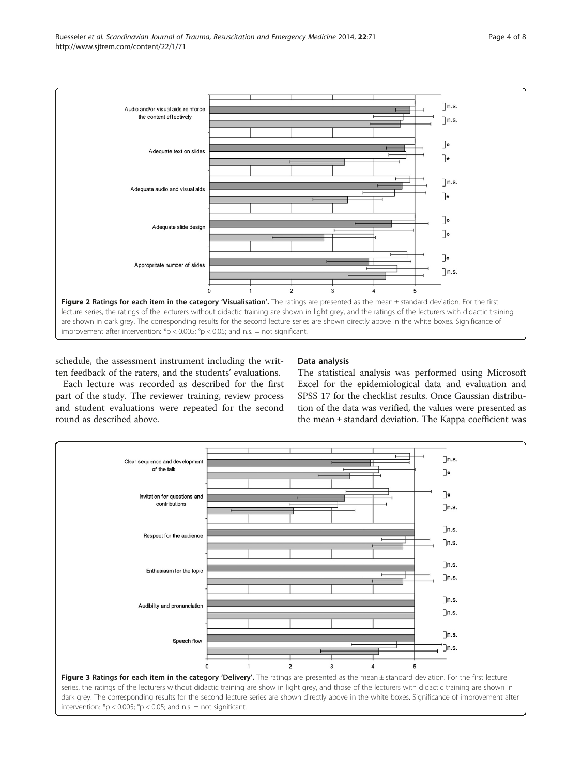<span id="page-3-0"></span>

schedule, the assessment instrument including the written feedback of the raters, and the students' evaluations.

Each lecture was recorded as described for the first part of the study. The reviewer training, review process and student evaluations were repeated for the second round as described above.

# Data analysis

The statistical analysis was performed using Microsoft Excel for the epidemiological data and evaluation and SPSS 17 for the checklist results. Once Gaussian distribution of the data was verified, the values were presented as the mean ± standard deviation. The Kappa coefficient was

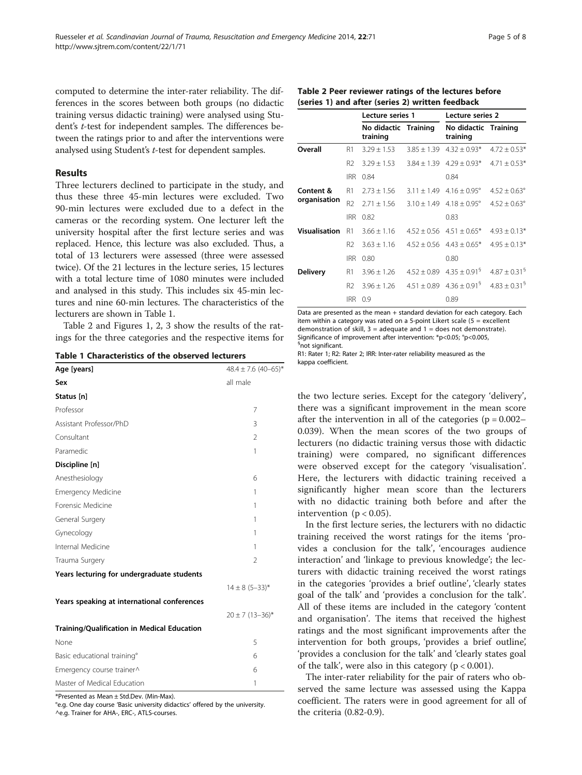computed to determine the inter-rater reliability. The differences in the scores between both groups (no didactic training versus didactic training) were analysed using Student's t-test for independent samples. The differences between the ratings prior to and after the interventions were analysed using Student's t-test for dependent samples.

## Results

Three lecturers declined to participate in the study, and thus these three 45-min lectures were excluded. Two 90-min lectures were excluded due to a defect in the cameras or the recording system. One lecturer left the university hospital after the first lecture series and was replaced. Hence, this lecture was also excluded. Thus, a total of 13 lecturers were assessed (three were assessed twice). Of the 21 lectures in the lecture series, 15 lectures with a total lecture time of 1080 minutes were included and analysed in this study. This includes six 45-min lectures and nine 60-min lectures. The characteristics of the lecturers are shown in Table 1.

Table 2 and Figures [1](#page-2-0), [2, 3](#page-3-0) show the results of the ratings for the three categories and the respective items for

Table 1 Characteristics of the observed lecturers

| Age [years]                                 | 48.4 ± 7.6 $(40-65)$ * |
|---------------------------------------------|------------------------|
| Sex                                         | all male               |
| Status [n]                                  |                        |
| Professor                                   | 7                      |
| Assistant Professor/PhD                     | 3                      |
| Consultant                                  | $\overline{2}$         |
| Paramedic                                   | 1                      |
| Discipline [n]                              |                        |
| Anesthesiology                              | 6                      |
| <b>Emergency Medicine</b>                   | 1                      |
| Forensic Medicine                           | 1                      |
| General Surgery                             | 1                      |
| Gynecology                                  | 1                      |
| Internal Medicine                           | 1                      |
| Trauma Surgery                              | $\overline{2}$         |
| Years lecturing for undergraduate students  |                        |
|                                             | $14 \pm 8$ (5-33)*     |
| Years speaking at international conferences |                        |
|                                             | $20 \pm 7$ (13-36)*    |
| Training/Qualification in Medical Education |                        |
| None                                        | 5                      |
| Basic educational training <sup>o</sup>     | 6                      |
| Emergency course trainer^                   | 6                      |
| Master of Medical Education                 | $\mathbf{1}$           |
|                                             |                        |

\*Presented as Mean ± Std.Dev. (Min-Max).

°e.g. One day course 'Basic university didactics' offered by the university. ^e.g. Trainer for AHA-, ERC-, ATLS-courses.

| Table 2 Peer reviewer ratings of the lectures before |
|------------------------------------------------------|
| (series 1) and after (series 2) written feedback     |

|                           |                | Lecture series 1                 |                 | Lecture series 2                             |                         |
|---------------------------|----------------|----------------------------------|-----------------|----------------------------------------------|-------------------------|
|                           |                | No didactic Training<br>training |                 | No didactic Training<br>training             |                         |
| Overall                   | R <sub>1</sub> | $3.29 \pm 1.53$                  | $3.85 \pm 1.39$ | $4.32 \pm 0.93$ *                            | $4.72 \pm 0.53*$        |
|                           | R <sub>2</sub> | $3.29 + 1.53$                    |                 | $3.84 \pm 1.39$ $4.29 \pm 0.93$ <sup>*</sup> | $4.71 \pm 0.53*$        |
|                           | <b>IRR</b>     | 0.84                             |                 | 0.84                                         |                         |
| Content &<br>organisation | R <sub>1</sub> | $2.73 + 1.56$                    |                 | $3.11 \pm 1.49$ $4.16 \pm 0.95^{\circ}$      | $4.52 \pm 0.63$ °       |
|                           | R2             | $2.71 + 1.56$                    | $3.10 + 1.49$   | $4.18 + 0.95^{\circ}$                        | $4.52 \pm 0.63^{\circ}$ |
|                           | <b>IRR</b>     | 0.82                             |                 | 0.83                                         |                         |
| <b>Visualisation</b>      | R <sub>1</sub> | $3.66 + 1.16$                    |                 | $4.52 + 0.56$ $4.51 + 0.65*$                 | $4.93 \pm 0.13*$        |
|                           | R2             | $3.63 + 1.16$                    |                 | $4.52 + 0.56$ $4.43 + 0.65*$                 | $4.95 + 0.13*$          |
|                           | <b>IRR</b>     | 0.80                             |                 | 0.80                                         |                         |
| <b>Delivery</b>           | R1             | $3.96 \pm 1.26$                  | $4.52 \pm 0.89$ | $4.35 \pm 0.91^{\frac{6}{5}}$                | $4.87 \pm 0.31^{\circ}$ |
|                           | R <sub>2</sub> | $3.96 + 1.26$                    |                 | $4.51 \pm 0.89$ $4.36 \pm 0.91^9$            | $4.83 \pm 0.31^9$       |
|                           | <b>IRR</b>     | 0.9                              |                 | 0.89                                         |                         |
|                           |                |                                  |                 |                                              |                         |

Data are presented as the mean + standard deviation for each category. Each item within a category was rated on a 5-point Likert scale (5 = excellent demonstration of skill,  $3 =$  adequate and  $1 =$  does not demonstrate). Significance of improvement after intervention: \*p<0.05; °p<0.005, § not significant.

R1: Rater 1; R2: Rater 2; IRR: Inter-rater reliability measured as the kappa coefficient.

the two lecture series. Except for the category 'delivery', there was a significant improvement in the mean score after the intervention in all of the categories ( $p = 0.002-$ 0.039). When the mean scores of the two groups of lecturers (no didactic training versus those with didactic training) were compared, no significant differences were observed except for the category 'visualisation'. Here, the lecturers with didactic training received a significantly higher mean score than the lecturers with no didactic training both before and after the intervention ( $p < 0.05$ ).

In the first lecture series, the lecturers with no didactic training received the worst ratings for the items 'provides a conclusion for the talk', 'encourages audience interaction' and 'linkage to previous knowledge'; the lecturers with didactic training received the worst ratings in the categories 'provides a brief outline', 'clearly states goal of the talk' and 'provides a conclusion for the talk'. All of these items are included in the category 'content and organisation'. The items that received the highest ratings and the most significant improvements after the intervention for both groups, 'provides a brief outline', 'provides a conclusion for the talk' and 'clearly states goal of the talk', were also in this category ( $p < 0.001$ ).

The inter-rater reliability for the pair of raters who observed the same lecture was assessed using the Kappa coefficient. The raters were in good agreement for all of the criteria (0.82-0.9).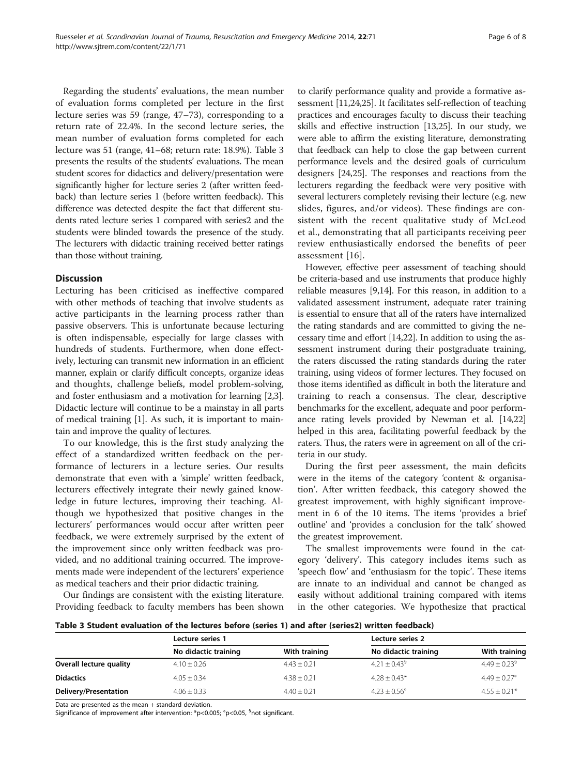Regarding the students' evaluations, the mean number of evaluation forms completed per lecture in the first lecture series was 59 (range, 47–73), corresponding to a return rate of 22.4%. In the second lecture series, the mean number of evaluation forms completed for each lecture was 51 (range, 41–68; return rate: 18.9%). Table 3 presents the results of the students' evaluations. The mean student scores for didactics and delivery/presentation were significantly higher for lecture series 2 (after written feedback) than lecture series 1 (before written feedback). This difference was detected despite the fact that different students rated lecture series 1 compared with series2 and the students were blinded towards the presence of the study. The lecturers with didactic training received better ratings than those without training.

# **Discussion**

Lecturing has been criticised as ineffective compared with other methods of teaching that involve students as active participants in the learning process rather than passive observers. This is unfortunate because lecturing is often indispensable, especially for large classes with hundreds of students. Furthermore, when done effectively, lecturing can transmit new information in an efficient manner, explain or clarify difficult concepts, organize ideas and thoughts, challenge beliefs, model problem-solving, and foster enthusiasm and a motivation for learning [[2](#page-6-0),[3](#page-6-0)]. Didactic lecture will continue to be a mainstay in all parts of medical training [[1](#page-6-0)]. As such, it is important to maintain and improve the quality of lectures.

To our knowledge, this is the first study analyzing the effect of a standardized written feedback on the performance of lecturers in a lecture series. Our results demonstrate that even with a 'simple' written feedback, lecturers effectively integrate their newly gained knowledge in future lectures, improving their teaching. Although we hypothesized that positive changes in the lecturers' performances would occur after written peer feedback, we were extremely surprised by the extent of the improvement since only written feedback was provided, and no additional training occurred. The improvements made were independent of the lecturers' experience as medical teachers and their prior didactic training.

Our findings are consistent with the existing literature. Providing feedback to faculty members has been shown

to clarify performance quality and provide a formative assessment [[11](#page-7-0),[24,25\]](#page-7-0). It facilitates self-reflection of teaching practices and encourages faculty to discuss their teaching skills and effective instruction [[13](#page-7-0),[25](#page-7-0)]. In our study, we were able to affirm the existing literature, demonstrating that feedback can help to close the gap between current performance levels and the desired goals of curriculum designers [\[24,25](#page-7-0)]. The responses and reactions from the lecturers regarding the feedback were very positive with several lecturers completely revising their lecture (e.g. new slides, figures, and/or videos). These findings are consistent with the recent qualitative study of McLeod et al., demonstrating that all participants receiving peer review enthusiastically endorsed the benefits of peer assessment [[16\]](#page-7-0).

However, effective peer assessment of teaching should be criteria-based and use instruments that produce highly reliable measures [\[9](#page-6-0)[,14\]](#page-7-0). For this reason, in addition to a validated assessment instrument, adequate rater training is essential to ensure that all of the raters have internalized the rating standards and are committed to giving the necessary time and effort [[14,22](#page-7-0)]. In addition to using the assessment instrument during their postgraduate training, the raters discussed the rating standards during the rater training, using videos of former lectures. They focused on those items identified as difficult in both the literature and training to reach a consensus. The clear, descriptive benchmarks for the excellent, adequate and poor performance rating levels provided by Newman et al. [\[14,22](#page-7-0)] helped in this area, facilitating powerful feedback by the raters. Thus, the raters were in agreement on all of the criteria in our study.

During the first peer assessment, the main deficits were in the items of the category 'content & organisation'. After written feedback, this category showed the greatest improvement, with highly significant improvement in 6 of the 10 items. The items 'provides a brief outline' and 'provides a conclusion for the talk' showed the greatest improvement.

The smallest improvements were found in the category 'delivery'. This category includes items such as 'speech flow' and 'enthusiasm for the topic'. These items are innate to an individual and cannot be changed as easily without additional training compared with items in the other categories. We hypothesize that practical

Table 3 Student evaluation of the lectures before (series 1) and after (series2) written feedback)

|                         | Lecture series 1     |                 | Lecture series 2      |                   |  |
|-------------------------|----------------------|-----------------|-----------------------|-------------------|--|
|                         | No didactic training | With training   | No didactic training  | With training     |  |
| Overall lecture quality | $4.10 \pm 0.26$      | $4.43 \pm 0.21$ | $4.21 + 0.43^{\circ}$ | $4.49 \pm 0.23^9$ |  |
| <b>Didactics</b>        | $4.05 + 0.34$        | $4.38 + 0.21$   | $4.28 + 0.43*$        | $4.49 \pm 0.27$ ° |  |
| Delivery/Presentation   | $4.06 + 0.33$        | $4.40 + 0.21$   | $4.23 + 0.56^{\circ}$ | $4.55 + 0.21*$    |  |

Data are presented as the mean + standard deviation.

Significance of improvement after intervention: \*p<0.005; °p<0.05, <sup>s</sup>not significant.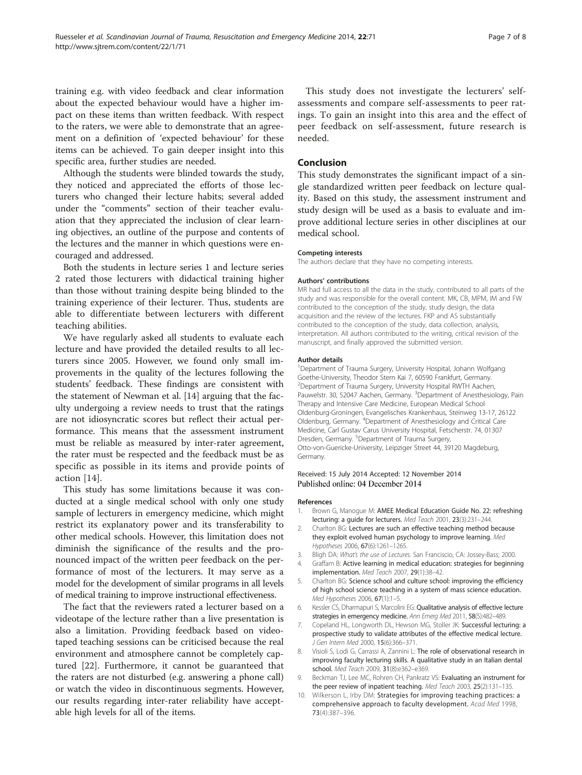<span id="page-6-0"></span>training e.g. with video feedback and clear information about the expected behaviour would have a higher impact on these items than written feedback. With respect to the raters, we were able to demonstrate that an agreement on a definition of 'expected behaviour' for these items can be achieved. To gain deeper insight into this specific area, further studies are needed.

Although the students were blinded towards the study, they noticed and appreciated the efforts of those lecturers who changed their lecture habits; several added under the "comments" section of their teacher evaluation that they appreciated the inclusion of clear learning objectives, an outline of the purpose and contents of the lectures and the manner in which questions were encouraged and addressed.

Both the students in lecture series 1 and lecture series 2 rated those lecturers with didactical training higher than those without training despite being blinded to the training experience of their lecturer. Thus, students are able to differentiate between lecturers with different teaching abilities.

We have regularly asked all students to evaluate each lecture and have provided the detailed results to all lecturers since 2005. However, we found only small improvements in the quality of the lectures following the students' feedback. These findings are consistent with the statement of Newman et al. [\[14](#page-7-0)] arguing that the faculty undergoing a review needs to trust that the ratings are not idiosyncratic scores but reflect their actual performance. This means that the assessment instrument must be reliable as measured by inter-rater agreement, the rater must be respected and the feedback must be as specific as possible in its items and provide points of action [[14\]](#page-7-0).

This study has some limitations because it was conducted at a single medical school with only one study sample of lecturers in emergency medicine, which might restrict its explanatory power and its transferability to other medical schools. However, this limitation does not diminish the significance of the results and the pronounced impact of the written peer feedback on the performance of most of the lecturers. It may serve as a model for the development of similar programs in all levels of medical training to improve instructional effectiveness.

The fact that the reviewers rated a lecturer based on a videotape of the lecture rather than a live presentation is also a limitation. Providing feedback based on videotaped teaching sessions can be criticised because the real environment and atmosphere cannot be completely captured [[22](#page-7-0)]. Furthermore, it cannot be guaranteed that the raters are not disturbed (e.g. answering a phone call) or watch the video in discontinuous segments. However, our results regarding inter-rater reliability have acceptable high levels for all of the items.

This study does not investigate the lecturers' selfassessments and compare self-assessments to peer ratings. To gain an insight into this area and the effect of peer feedback on self-assessment, future research is needed.

# Conclusion

This study demonstrates the significant impact of a single standardized written peer feedback on lecture quality. Based on this study, the assessment instrument and study design will be used as a basis to evaluate and improve additional lecture series in other disciplines at our medical school.

#### Competing interests

The authors declare that they have no competing interests.

#### Authors' contributions

MR had full access to all the data in the study, contributed to all parts of the study and was responsible for the overall content. MK, CB, MPM, IM and FW contributed to the conception of the study, study design, the data acquisition and the review of the lectures. FKP and AS substantially contributed to the conception of the study, data collection, analysis, interpretation. All authors contributed to the writing, critical revision of the manuscript, and finally approved the submitted version.

#### Author details

<sup>1</sup>Department of Trauma Surgery, University Hospital, Johann Wolfgang Goethe-University, Theodor Stern Kai 7, 60590 Frankfurt, Germany. 2 Department of Trauma Surgery, University Hospital RWTH Aachen, Pauwelstr. 30, 52047 Aachen, Germany. <sup>3</sup>Department of Anesthesiology, Pain Therapy and Intensive Care Medicine, European Medical School Oldenburg-Groningen, Evangelisches Krankenhaus, Steinweg 13-17, 26122 Oldenburg, Germany. <sup>4</sup>Department of Anesthesiology and Critical Care Medicine, Carl Gustav Carus University Hospital, Fetscherstr. 74, 01307 Dresden, Germany. <sup>5</sup>Department of Trauma Surgery, Otto-von-Guericke-University, Leipziger Street 44, 39120 Magdeburg, Germany.

#### Received: 15 July 2014 Accepted: 12 November 2014 Published online: 04 December 2014

#### References

- 1. Brown G, Manogue M: AMEE Medical Education Guide No. 22: refreshing lecturing: a guide for lecturers. Med Teach 2001, 23(3):231–244.
- 2. Charlton BG: Lectures are such an effective teaching method because they exploit evolved human psychology to improve learning. Med Hypotheses 2006, 67(6):1261–1265.
- 3. Bligh DA: What's the use of Lectures. San Franciscio, CA: Jossey-Bass; 2000.
- 4. Graffam B: Active learning in medical education: strategies for beginning implementation. Med Teach 2007, 29(1):38–42.
- 5. Charlton BG: Science school and culture school: improving the efficiency of high school science teaching in a system of mass science education. Med Hypotheses 2006, 67(1):1–5.
- 6. Kessler CS, Dharmapuri S, Marcolini EG: Qualitative analysis of effective lecture strategies in emergency medicine. Ann Emerg Med 2011, 58(5):482–489.
- 7. Copeland HL, Longworth DL, Hewson MG, Stoller JK: Successful lecturing: a prospective study to validate attributes of the effective medical lecture. J Gen Intern Med 2000, 15(6):366–371.
- 8. Visioli S, Lodi G, Carrassi A, Zannini L: The role of observational research in improving faculty lecturing skills. A qualitative study in an Italian dental school. Med Teach 2009, 31(8):e362–e369.
- 9. Beckman TJ, Lee MC, Rohren CH, Pankratz VS: Evaluating an instrument for the peer review of inpatient teaching. Med Teach 2003, 25(2):131–135.
- 10. Wilkerson L, Irby DM: Strategies for improving teaching practices: a comprehensive approach to faculty development. Acad Med 1998, 73(4):387–396.